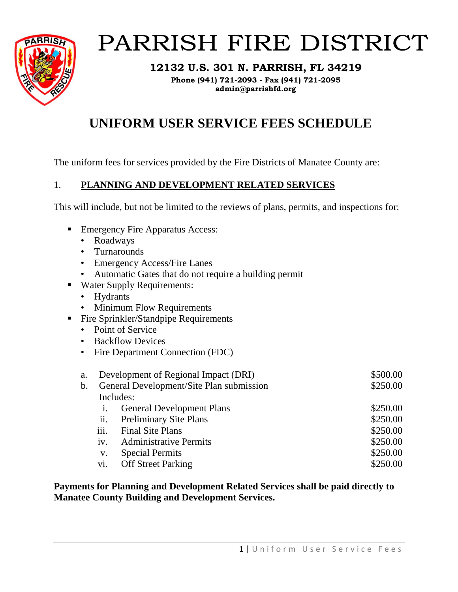

# PARRISH FIRE DISTRICT

**12132 U.S. 301 N. PARRISH, FL 34219**

**Phone (941) 721-2093 - Fax (941) 721-2095 admin@parrishfd.org**

# **UNIFORM USER SERVICE FEES SCHEDULE**

The uniform fees for services provided by the Fire Districts of Manatee County are:

# 1. **PLANNING AND DEVELOPMENT RELATED SERVICES**

This will include, but not be limited to the reviews of plans, permits, and inspections for:

- Emergency Fire Apparatus Access:
	- Roadways
	- Turnarounds
	- Emergency Access/Fire Lanes
	- Automatic Gates that do not require a building permit
- Water Supply Requirements:
	- Hydrants
	- Minimum Flow Requirements
- **•** Fire Sprinkler/Standpipe Requirements
	- Point of Service
	- Backflow Devices
	- Fire Department Connection (FDC)

| a. |                            | Development of Regional Impact (DRI)     | \$500.00 |
|----|----------------------------|------------------------------------------|----------|
| b. |                            | General Development/Site Plan submission | \$250.00 |
|    |                            | Includes:                                |          |
|    | 1.                         | <b>General Development Plans</b>         | \$250.00 |
|    | $\overline{\mathbf{11}}$ . | <b>Preliminary Site Plans</b>            | \$250.00 |
|    | iii.                       | <b>Final Site Plans</b>                  | \$250.00 |
|    | iv.                        | <b>Administrative Permits</b>            | \$250.00 |
|    | V.                         | <b>Special Permits</b>                   | \$250.00 |
|    | vi.                        | <b>Off Street Parking</b>                | \$250.00 |

**Payments for Planning and Development Related Services shall be paid directly to Manatee County Building and Development Services.**